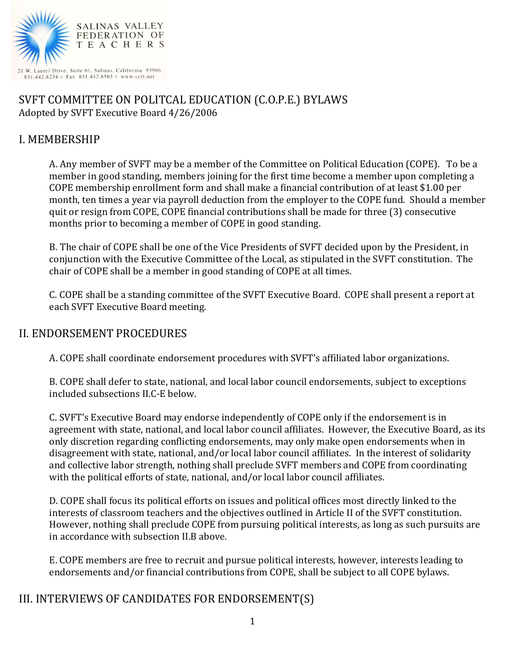

### SVFT COMMITTEE ON POLITCAL EDUCATION (C.O.P.E.) BYLAWS Adopted by SVFT Executive Board 4/26/2006

### I. MEMBERSHIP

A. Any member of SVFT may be a member of the Committee on Political Education (COPE). To be a member in good standing, members joining for the first time become a member upon completing a COPE membership enrollment form and shall make a financial contribution of at least \$1.00 per month, ten times a year via payroll deduction from the employer to the COPE fund. Should a member quit or resign from COPE, COPE financial contributions shall be made for three (3) consecutive months prior to becoming a member of COPE in good standing.

B. The chair of COPE shall be one of the Vice Presidents of SVFT decided upon by the President, in conjunction with the Executive Committee of the Local, as stipulated in the SVFT constitution. The chair of COPE shall be a member in good standing of COPE at all times.

C. COPE shall be a standing committee of the SVFT Executive Board. COPE shall present a report at each SVFT Executive Board meeting.

#### II. ENDORSEMENT PROCEDURES

A. COPE shall coordinate endorsement procedures with SVFT's affiliated labor organizations.

B. COPE shall defer to state, national, and local labor council endorsements, subject to exceptions included subsections II.C-E below.

C. SVFT's Executive Board may endorse independently of COPE only if the endorsement is in agreement with state, national, and local labor council affiliates. However, the Executive Board, as its only discretion regarding conflicting endorsements, may only make open endorsements when in disagreement with state, national, and/or local labor council affiliates. In the interest of solidarity and collective labor strength, nothing shall preclude SVFT members and COPE from coordinating with the political efforts of state, national, and/or local labor council affiliates.

D. COPE shall focus its political efforts on issues and political offices most directly linked to the interests of classroom teachers and the objectives outlined in Article II of the SVFT constitution. However, nothing shall preclude COPE from pursuing political interests, as long as such pursuits are in accordance with subsection II.B above.

E. COPE members are free to recruit and pursue political interests, however, interests leading to endorsements and/or financial contributions from COPE, shall be subject to all COPE bylaws.

# III. INTERVIEWS OF CANDIDATES FOR ENDORSEMENT(S)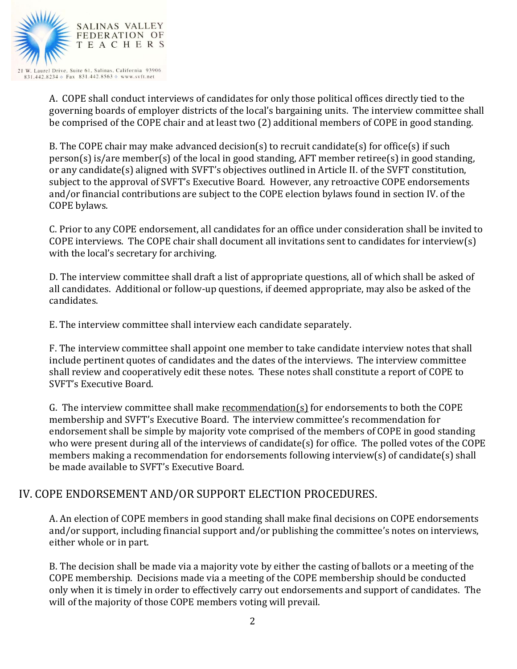

A. COPE shall conduct interviews of candidates for only those political offices directly tied to the governing boards of employer districts of the local's bargaining units. The interview committee shall be comprised of the COPE chair and at least two (2) additional members of COPE in good standing.

B. The COPE chair may make advanced decision(s) to recruit candidate(s) for office(s) if such person(s) is/are member(s) of the local in good standing, AFT member retiree(s) in good standing, or any candidate(s) aligned with SVFT's objectives outlined in Article II. of the SVFT constitution, subject to the approval of SVFT's Executive Board. However, any retroactive COPE endorsements and/or financial contributions are subject to the COPE election bylaws found in section IV. of the COPE bylaws.

C. Prior to any COPE endorsement, all candidates for an office under consideration shall be invited to COPE interviews. The COPE chair shall document all invitations sent to candidates for interview(s) with the local's secretary for archiving.

D. The interview committee shall draft a list of appropriate questions, all of which shall be asked of all candidates. Additional or follow-up questions, if deemed appropriate, may also be asked of the candidates.

E. The interview committee shall interview each candidate separately.

F. The interview committee shall appoint one member to take candidate interview notes that shall include pertinent quotes of candidates and the dates of the interviews. The interview committee shall review and cooperatively edit these notes. These notes shall constitute a report of COPE to SVFT's Executive Board.

G. The interview committee shall make recommendation(s) for endorsements to both the COPE membership and SVFT's Executive Board. The interview committee's recommendation for endorsement shall be simple by majority vote comprised of the members of COPE in good standing who were present during all of the interviews of candidate(s) for office. The polled votes of the COPE members making a recommendation for endorsements following interview(s) of candidate(s) shall be made available to SVFT's Executive Board.

# IV. COPE ENDORSEMENT AND/OR SUPPORT ELECTION PROCEDURES.

A. An election of COPE members in good standing shall make final decisions on COPE endorsements and/or support, including financial support and/or publishing the committee's notes on interviews, either whole or in part.

B. The decision shall be made via a majority vote by either the casting of ballots or a meeting of the COPE membership. Decisions made via a meeting of the COPE membership should be conducted only when it is timely in order to effectively carry out endorsements and support of candidates. The will of the majority of those COPE members voting will prevail.